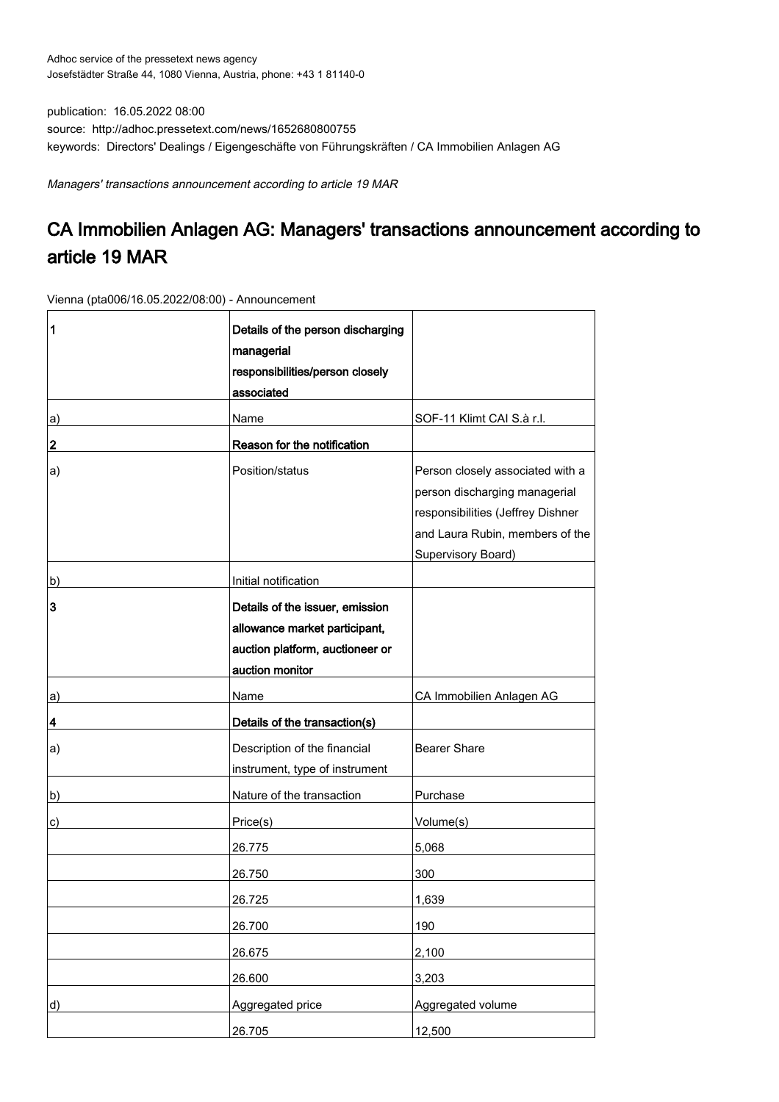publication: 16.05.2022 08:00 source: http://adhoc.pressetext.com/news/1652680800755 keywords: Directors' Dealings / Eigengeschäfte von Führungskräften / CA Immobilien Anlagen AG

Managers' transactions announcement according to article 19 MAR

## CA Immobilien Anlagen AG: Managers' transactions announcement according to article 19 MAR

Vienna (pta006/16.05.2022/08:00) - Announcement

| 1  | Details of the person discharging<br>managerial<br>responsibilities/person closely<br>associated                       |                                                                                                                                                                        |
|----|------------------------------------------------------------------------------------------------------------------------|------------------------------------------------------------------------------------------------------------------------------------------------------------------------|
| a) | Name                                                                                                                   | SOF-11 Klimt CAI S.à r.l.                                                                                                                                              |
| 2  | Reason for the notification                                                                                            |                                                                                                                                                                        |
| a) | Position/status                                                                                                        | Person closely associated with a<br>person discharging managerial<br>responsibilities (Jeffrey Dishner<br>and Laura Rubin, members of the<br><b>Supervisory Board)</b> |
| b) | Initial notification                                                                                                   |                                                                                                                                                                        |
| 3  | Details of the issuer, emission<br>allowance market participant,<br>auction platform, auctioneer or<br>auction monitor |                                                                                                                                                                        |
| a) | Name                                                                                                                   | CA Immobilien Anlagen AG                                                                                                                                               |
| 4  | Details of the transaction(s)                                                                                          |                                                                                                                                                                        |
| a) | Description of the financial<br>instrument, type of instrument                                                         | <b>Bearer Share</b>                                                                                                                                                    |
| b) | Nature of the transaction                                                                                              | Purchase                                                                                                                                                               |
| c) | Price(s)                                                                                                               | Volume(s)                                                                                                                                                              |
|    | 26.775                                                                                                                 | 5,068                                                                                                                                                                  |
|    | 26.750                                                                                                                 | 300                                                                                                                                                                    |
|    | 26.725                                                                                                                 | 1,639                                                                                                                                                                  |
|    | 26.700                                                                                                                 | 190                                                                                                                                                                    |
|    | 26.675                                                                                                                 | 2,100                                                                                                                                                                  |
|    | 26.600                                                                                                                 | 3,203                                                                                                                                                                  |
| d) | Aggregated price                                                                                                       | Aggregated volume                                                                                                                                                      |
|    | 26.705                                                                                                                 | 12,500                                                                                                                                                                 |